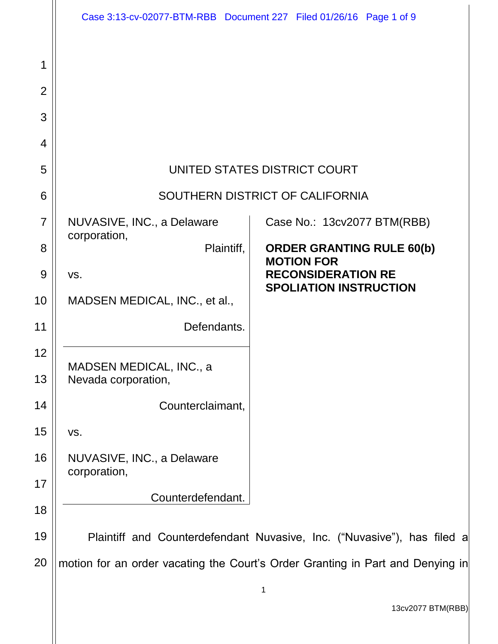|                | Case 3:13-cv-02077-BTM-RBB Document 227 Filed 01/26/16 Page 1 of 9             |                                                                         |
|----------------|--------------------------------------------------------------------------------|-------------------------------------------------------------------------|
| 1              |                                                                                |                                                                         |
| $\overline{2}$ |                                                                                |                                                                         |
| 3              |                                                                                |                                                                         |
| $\overline{4}$ |                                                                                |                                                                         |
| 5              | UNITED STATES DISTRICT COURT                                                   |                                                                         |
| 6              | SOUTHERN DISTRICT OF CALIFORNIA                                                |                                                                         |
| $\overline{7}$ | NUVASIVE, INC., a Delaware<br>corporation,                                     | Case No.: 13cv2077 BTM(RBB)                                             |
| 8              | Plaintiff,                                                                     | <b>ORDER GRANTING RULE 60(b)</b><br><b>MOTION FOR</b>                   |
| 9              | VS.                                                                            | <b>RECONSIDERATION RE</b><br><b>SPOLIATION INSTRUCTION</b>              |
| 10             | MADSEN MEDICAL, INC., et al.,                                                  |                                                                         |
| 11             | Defendants.                                                                    |                                                                         |
| 12<br>13       | MADSEN MEDICAL, INC., a<br>Nevada corporation,                                 |                                                                         |
| 14             | Counterclaimant,                                                               |                                                                         |
| 15             | VS.                                                                            |                                                                         |
| 16             | NUVASIVE, INC., a Delaware<br>corporation,                                     |                                                                         |
| 17             |                                                                                |                                                                         |
| 18             | Counterdefendant.                                                              |                                                                         |
| 19             |                                                                                | Plaintiff and Counterdefendant Nuvasive, Inc. ("Nuvasive"), has filed a |
| 20             | motion for an order vacating the Court's Order Granting in Part and Denying in |                                                                         |
|                |                                                                                | 1                                                                       |
|                |                                                                                | $1200077$ DTM/DDD                                                       |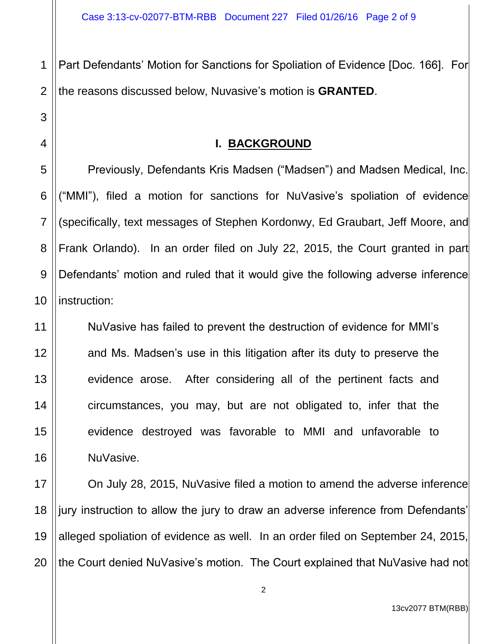1 2 Part Defendants' Motion for Sanctions for Spoliation of Evidence [Doc. 166]. For the reasons discussed below, Nuvasive's motion is **GRANTED**.

## **I. BACKGROUND**

Previously, Defendants Kris Madsen ("Madsen") and Madsen Medical, Inc. ("MMI"), filed a motion for sanctions for NuVasive's spoliation of evidence (specifically, text messages of Stephen Kordonwy, Ed Graubart, Jeff Moore, and Frank Orlando). In an order filed on July 22, 2015, the Court granted in part Defendants' motion and ruled that it would give the following adverse inference instruction:

NuVasive has failed to prevent the destruction of evidence for MMI's and Ms. Madsen's use in this litigation after its duty to preserve the evidence arose. After considering all of the pertinent facts and circumstances, you may, but are not obligated to, infer that the evidence destroyed was favorable to MMI and unfavorable to NuVasive.

17 18 19 20 On July 28, 2015, NuVasive filed a motion to amend the adverse inference jury instruction to allow the jury to draw an adverse inference from Defendants' alleged spoliation of evidence as well. In an order filed on September 24, 2015, the Court denied NuVasive's motion. The Court explained that NuVasive had not

3

4

5

13cv2077 BTM(RBB)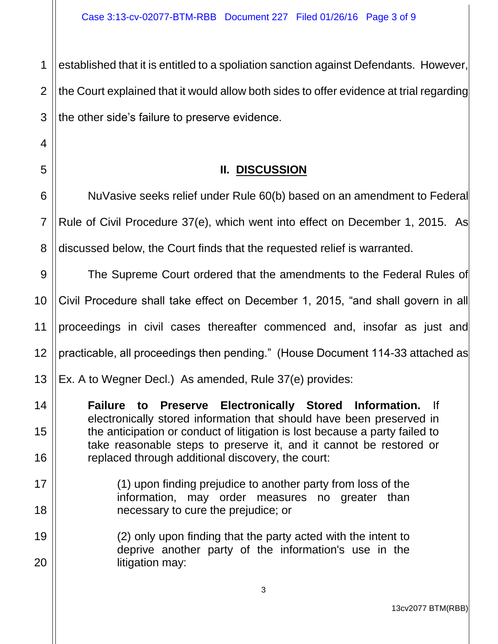1 2 3 established that it is entitled to a spoliation sanction against Defendants. However, the Court explained that it would allow both sides to offer evidence at trial regarding the other side's failure to preserve evidence.

4

5

14

15

16

19

20

## **II. DISCUSSION**

6 7 8 NuVasive seeks relief under Rule 60(b) based on an amendment to Federal Rule of Civil Procedure 37(e), which went into effect on December 1, 2015. As discussed below, the Court finds that the requested relief is warranted.

9 10 11 12 13 The Supreme Court ordered that the amendments to the Federal Rules of Civil Procedure shall take effect on December 1, 2015, "and shall govern in all proceedings in civil cases thereafter commenced and, insofar as just and practicable, all proceedings then pending." (House Document 114-33 attached as Ex. A to Wegner Decl.) As amended, Rule 37(e) provides:

**Failure to Preserve Electronically Stored Information.** If electronically stored information that should have been preserved in the anticipation or conduct of litigation is lost because a party failed to take reasonable steps to preserve it, and it cannot be restored or replaced through additional discovery, the court:

- 17 18 (1) upon finding prejudice to another party from loss of the information, may order measures no greater than necessary to cure the prejudice; or
	- (2) only upon finding that the party acted with the intent to deprive another party of the information's use in the litigation may: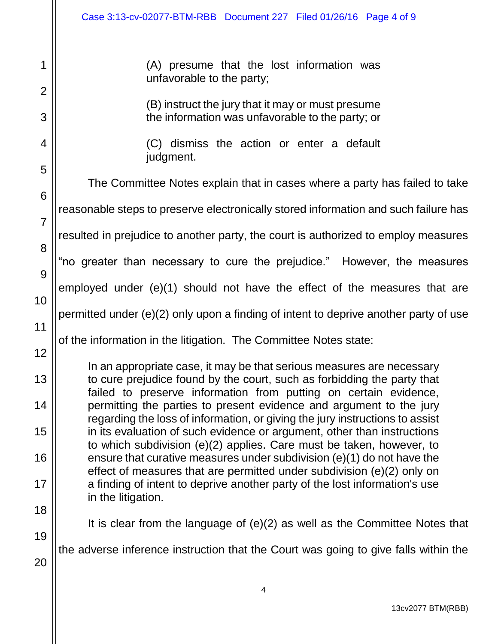1

2

3

4

5

6

7

8

9

10

11

12

13

14

15

16

17

18

19

20

(A) presume that the lost information was unfavorable to the party;

(B) instruct the jury that it may or must presume the information was unfavorable to the party; or

(C) dismiss the action or enter a default judgment.

The Committee Notes explain that in cases where a party has failed to take reasonable steps to preserve electronically stored information and such failure has resulted in prejudice to another party, the court is authorized to employ measures "no greater than necessary to cure the prejudice." However, the measures employed under (e)(1) should not have the effect of the measures that are permitted under (e)(2) only upon a finding of intent to deprive another party of use of the information in the litigation. The Committee Notes state: In an appropriate case, it may be that serious measures are necessary to cure prejudice found by the court, such as forbidding the party that failed to preserve information from putting on certain evidence, permitting the parties to present evidence and argument to the jury regarding the loss of information, or giving the jury instructions to assist in its evaluation of such evidence or argument, other than instructions to which subdivision (e)(2) applies. Care must be taken, however, to ensure that curative measures under subdivision (e)(1) do not have the effect of measures that are permitted under subdivision (e)(2) only on a finding of intent to deprive another party of the lost information's use in the litigation.

It is clear from the language of (e)(2) as well as the Committee Notes that

the adverse inference instruction that the Court was going to give falls within the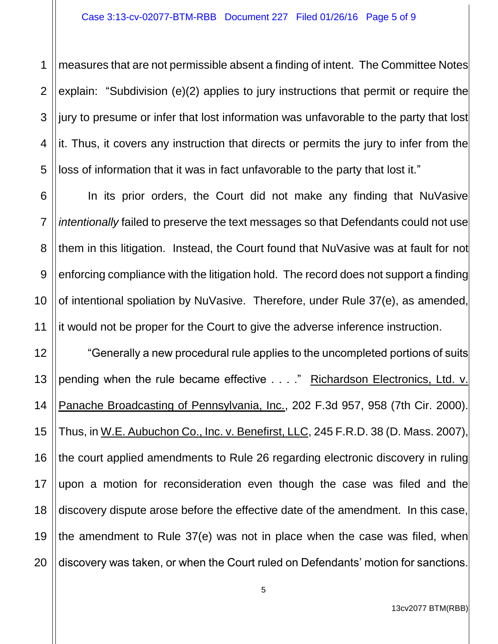1 2 3 4 5 measures that are not permissible absent a finding of intent. The Committee Notes explain: "Subdivision (e)(2) applies to jury instructions that permit or require the jury to presume or infer that lost information was unfavorable to the party that lost it. Thus, it covers any instruction that directs or permits the jury to infer from the loss of information that it was in fact unfavorable to the party that lost it."

6 7 8 9 10 11 In its prior orders, the Court did not make any finding that NuVasive *intentionally* failed to preserve the text messages so that Defendants could not use them in this litigation. Instead, the Court found that NuVasive was at fault for not enforcing compliance with the litigation hold. The record does not support a finding of intentional spoliation by NuVasive. Therefore, under Rule 37(e), as amended, it would not be proper for the Court to give the adverse inference instruction.

12 13 14 15 16 17 18 19 20 "Generally a new procedural rule applies to the uncompleted portions of suits pending when the rule became effective . . . ." Richardson Electronics, Ltd. v. Panache Broadcasting of Pennsylvania, Inc., 202 F.3d 957, 958 (7th Cir. 2000). Thus, in W.E. Aubuchon Co., Inc. v. Benefirst, LLC, 245 F.R.D. 38 (D. Mass. 2007), the court applied amendments to Rule 26 regarding electronic discovery in ruling upon a motion for reconsideration even though the case was filed and the discovery dispute arose before the effective date of the amendment. In this case, the amendment to Rule 37(e) was not in place when the case was filed, when discovery was taken, or when the Court ruled on Defendants' motion for sanctions.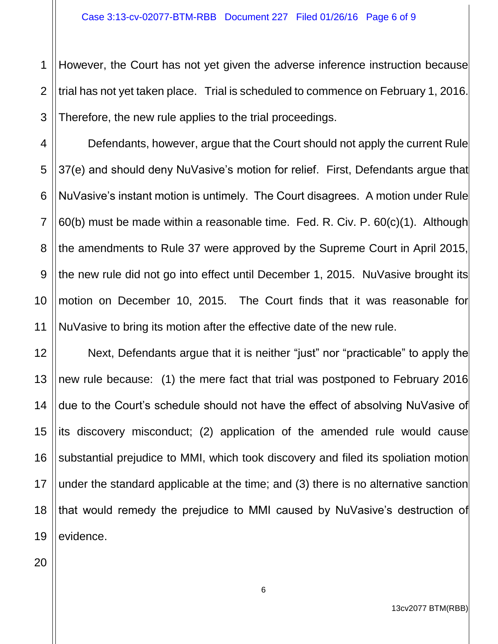1 2 3 However, the Court has not yet given the adverse inference instruction because trial has not yet taken place. Trial is scheduled to commence on February 1, 2016. Therefore, the new rule applies to the trial proceedings.

4 5 6 7 8 9 10 Defendants, however, argue that the Court should not apply the current Rule 37(e) and should deny NuVasive's motion for relief. First, Defendants argue that NuVasive's instant motion is untimely. The Court disagrees. A motion under Rule 60(b) must be made within a reasonable time. Fed. R. Civ. P.  $60(c)(1)$ . Although the amendments to Rule 37 were approved by the Supreme Court in April 2015, the new rule did not go into effect until December 1, 2015. NuVasive brought its motion on December 10, 2015. The Court finds that it was reasonable for NuVasive to bring its motion after the effective date of the new rule.

12 13 14 15 16 17 18 19 Next, Defendants argue that it is neither "just" nor "practicable" to apply the new rule because: (1) the mere fact that trial was postponed to February 2016 due to the Court's schedule should not have the effect of absolving NuVasive of its discovery misconduct; (2) application of the amended rule would cause substantial prejudice to MMI, which took discovery and filed its spoliation motion under the standard applicable at the time; and (3) there is no alternative sanction that would remedy the prejudice to MMI caused by NuVasive's destruction of evidence.

20

11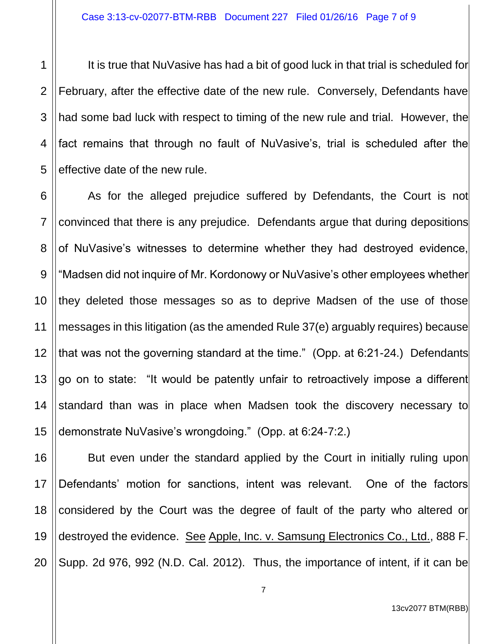1 3 4 5 It is true that NuVasive has had a bit of good luck in that trial is scheduled for February, after the effective date of the new rule. Conversely, Defendants have had some bad luck with respect to timing of the new rule and trial. However, the fact remains that through no fault of NuVasive's, trial is scheduled after the effective date of the new rule.

6 7 8 9 10 11 12 13 14 15 As for the alleged prejudice suffered by Defendants, the Court is not convinced that there is any prejudice. Defendants argue that during depositions of NuVasive's witnesses to determine whether they had destroyed evidence, "Madsen did not inquire of Mr. Kordonowy or NuVasive's other employees whether they deleted those messages so as to deprive Madsen of the use of those messages in this litigation (as the amended Rule 37(e) arguably requires) because that was not the governing standard at the time." (Opp. at 6:21-24.) Defendants go on to state: "It would be patently unfair to retroactively impose a different standard than was in place when Madsen took the discovery necessary to demonstrate NuVasive's wrongdoing." (Opp. at 6:24-7:2.)

16 17 18 19 20 But even under the standard applied by the Court in initially ruling upon Defendants' motion for sanctions, intent was relevant. One of the factors considered by the Court was the degree of fault of the party who altered or destroyed the evidence. See Apple, Inc. v. Samsung Electronics Co., Ltd., 888 F. Supp. 2d 976, 992 (N.D. Cal. 2012). Thus, the importance of intent, if it can be

13cv2077 BTM(RBB)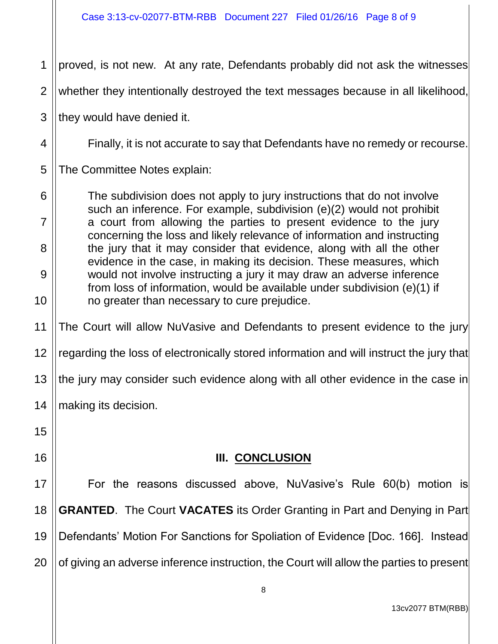1 proved, is not new. At any rate, Defendants probably did not ask the witnesses

2 whether they intentionally destroyed the text messages because in all likelihood,

3 they would have denied it.

Finally, it is not accurate to say that Defendants have no remedy or recourse.

5 The Committee Notes explain:

The subdivision does not apply to jury instructions that do not involve such an inference. For example, subdivision (e)(2) would not prohibit a court from allowing the parties to present evidence to the jury concerning the loss and likely relevance of information and instructing the jury that it may consider that evidence, along with all the other evidence in the case, in making its decision. These measures, which would not involve instructing a jury it may draw an adverse inference from loss of information, would be available under subdivision (e)(1) if no greater than necessary to cure prejudice.

11 The Court will allow NuVasive and Defendants to present evidence to the jury

12 regarding the loss of electronically stored information and will instruct the jury that

13 the jury may consider such evidence along with all other evidence in the case in

14 making its decision.

16

15

4

6

7

8

9

10

## **III. CONCLUSION**

17 18 19 20 For the reasons discussed above, NuVasive's Rule 60(b) motion is **GRANTED**. The Court **VACATES** its Order Granting in Part and Denying in Part Defendants' Motion For Sanctions for Spoliation of Evidence [Doc. 166]. Instead of giving an adverse inference instruction, the Court will allow the parties to present